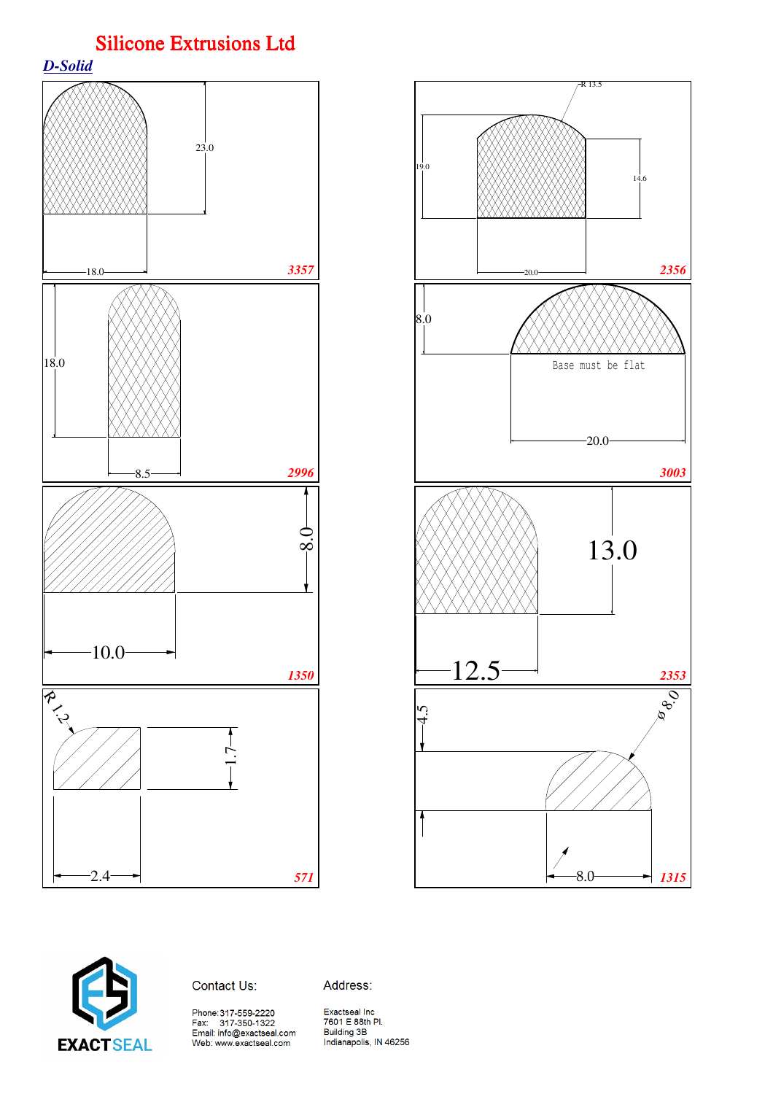*D-Solid*







Address: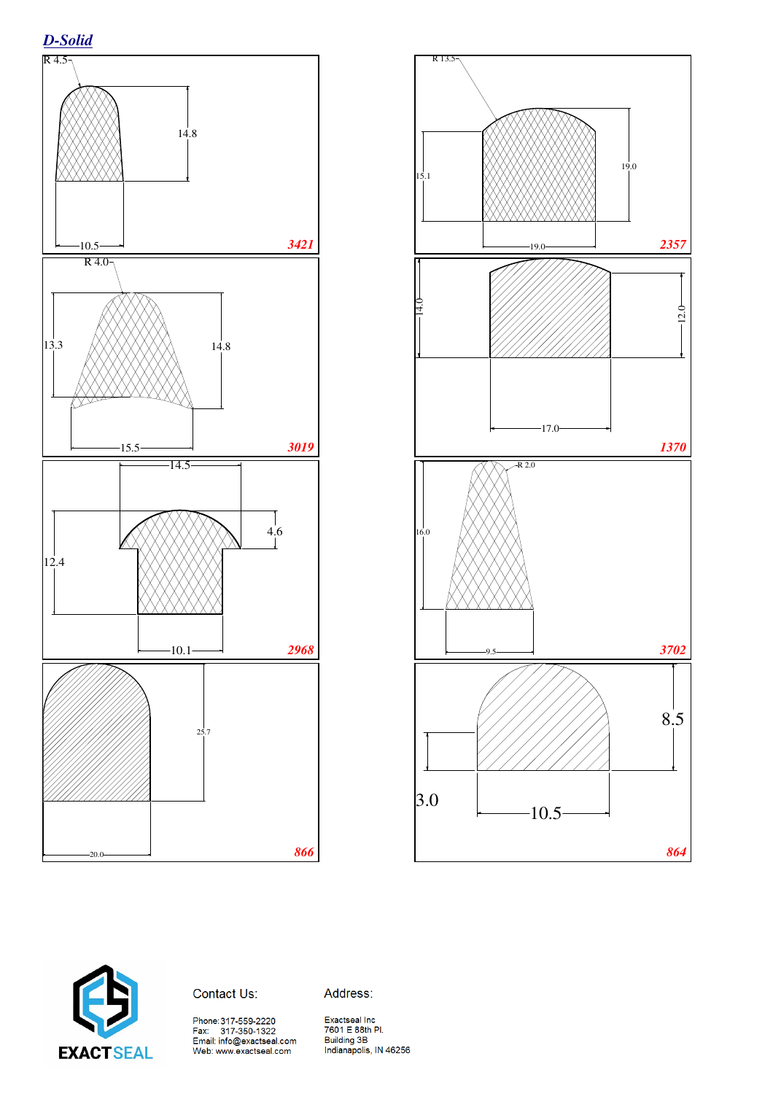





Address:

Phone:317-559-2220<br>Fax: 317-350-1322<br>Email: info@exactseal.com<br>Web: www.exactseal.com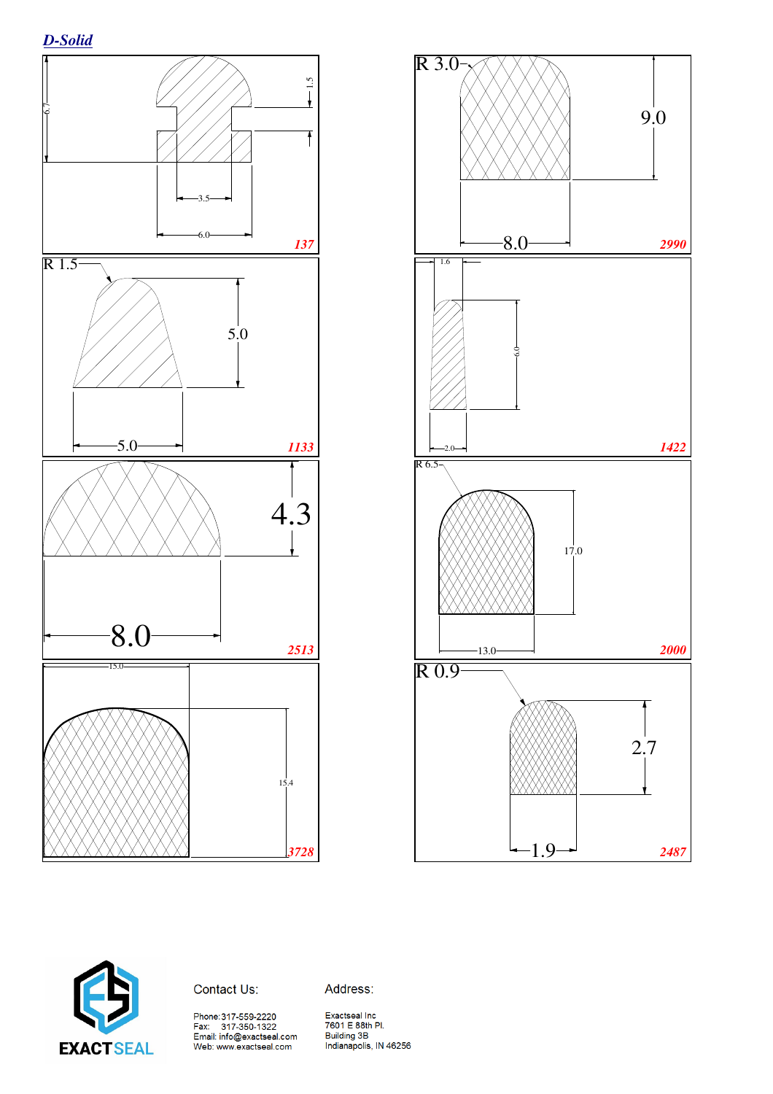





Address: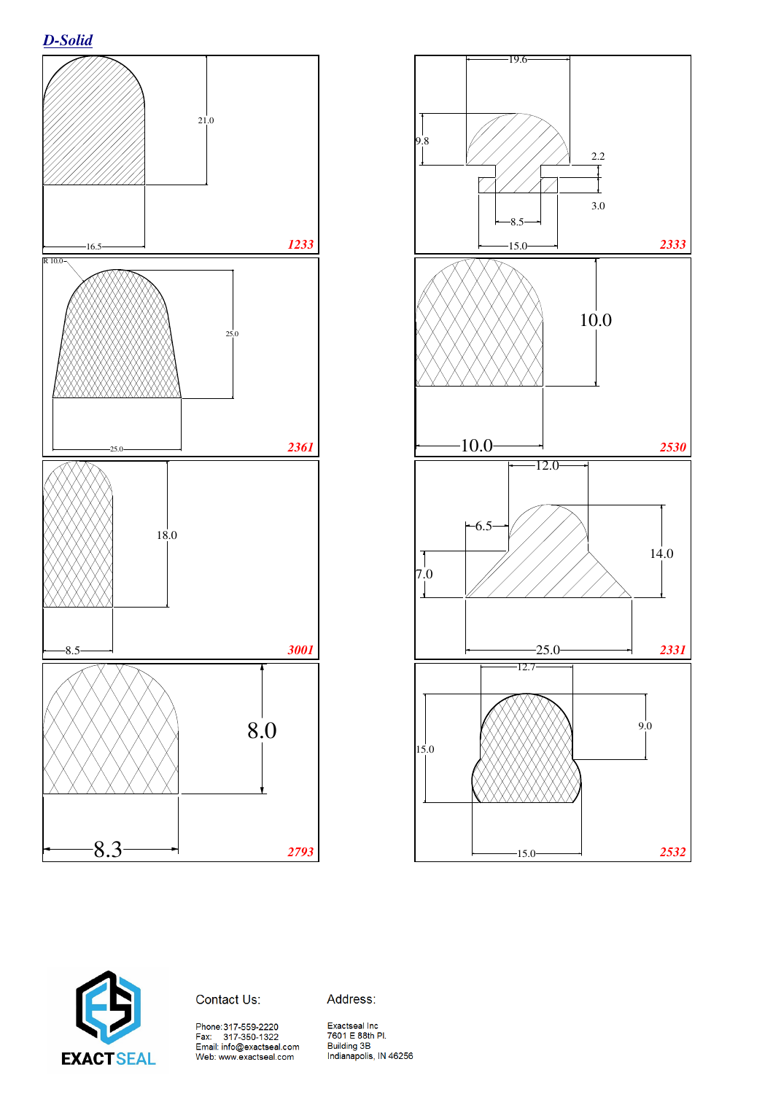*D-Solid*







Address:

Phone:317-559-2220<br>Fax: 317-350-1322<br>Email: info@exactseal.com<br>Web: www.exactseal.com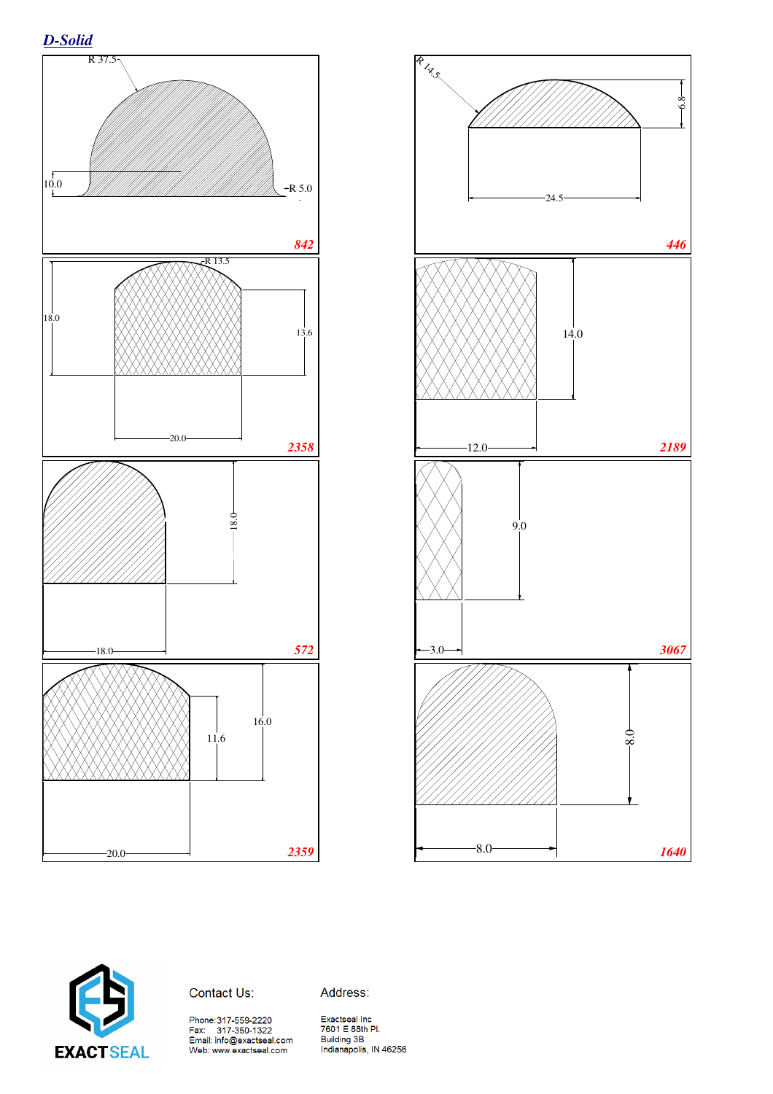







Address:

Phone:317-559-2220<br>Fax: 317-350-1322<br>Email: info@exactseal.com<br>Web: www.exactseal.com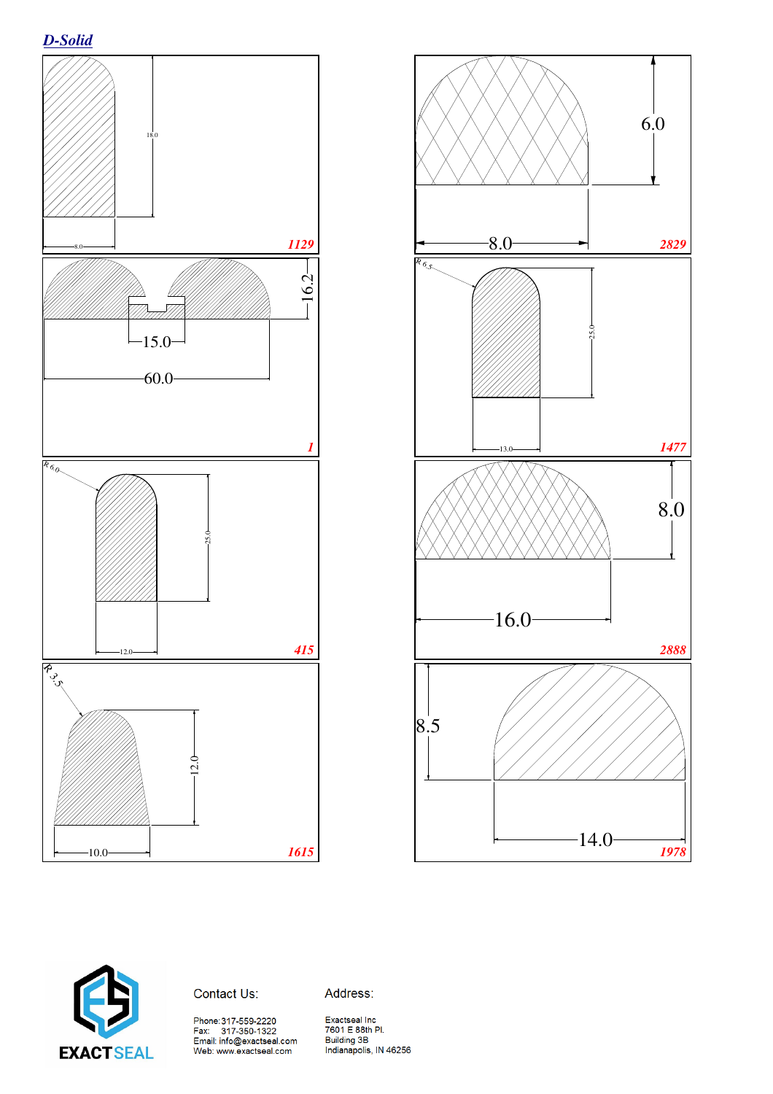





Address:

Phone:317-559-2220<br>Fax: 317-350-1322<br>Email: info@exactseal.com<br>Web: www.exactseal.com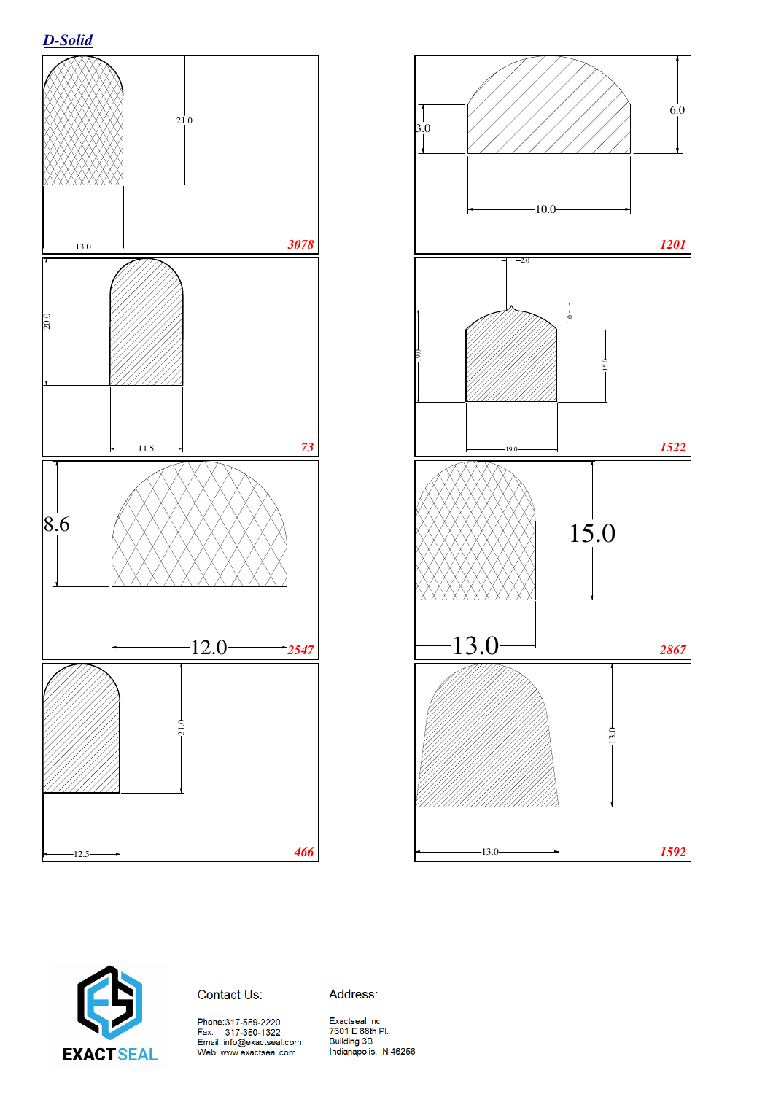





Address:

Phone:317-559-2220<br>Fax: 317-350-1322<br>Email: info@exactseal.com<br>Web: www.exactseal.com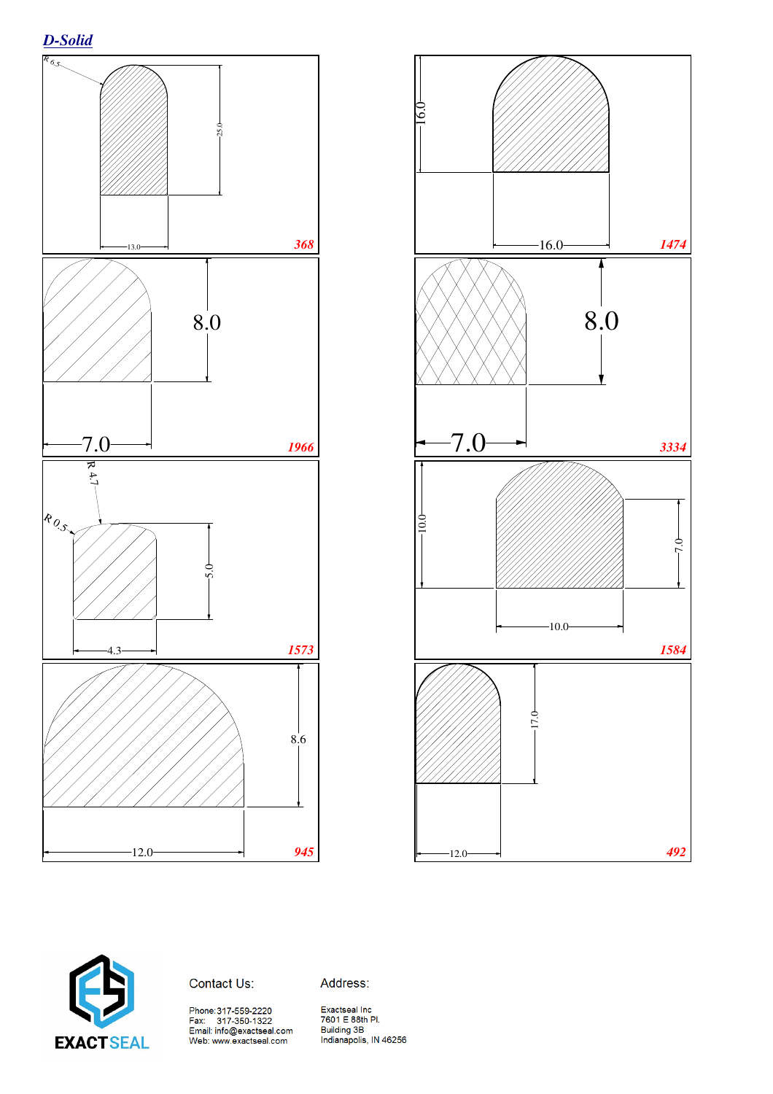# *D-Solid*







## Contact Us:

Address: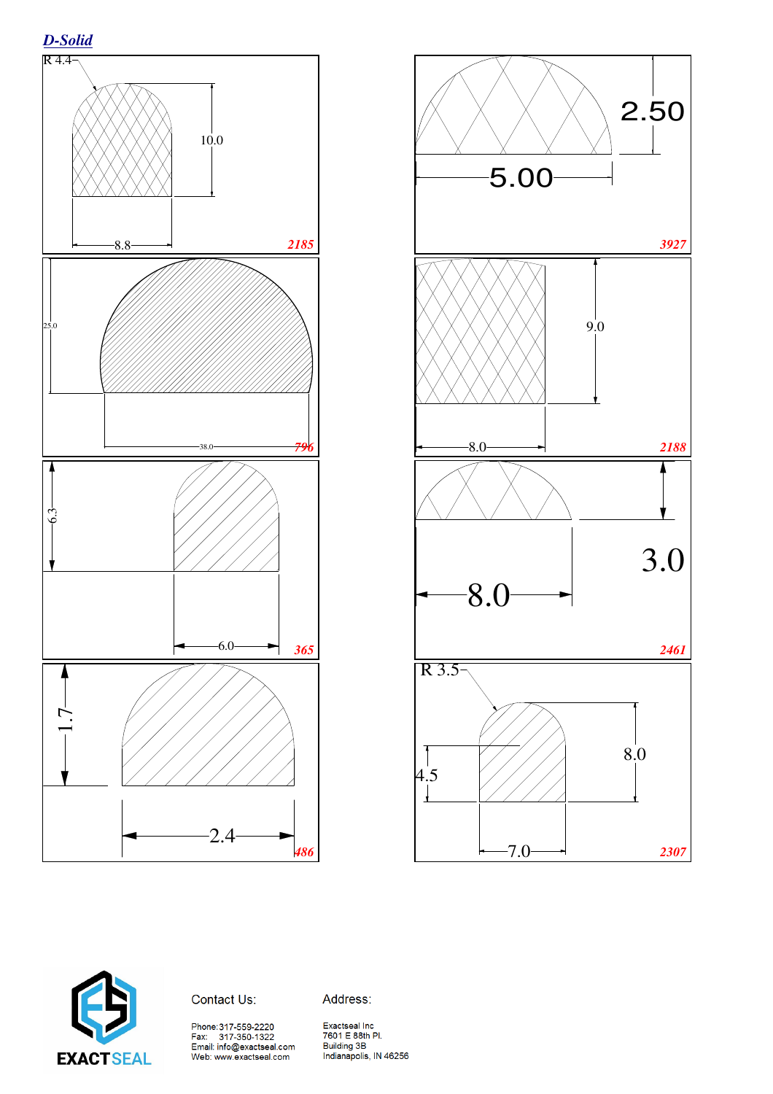





Address:

Phone:317-559-2220<br>Fax: 317-350-1322<br>Email: info@exactseal.com<br>Web: www.exactseal.com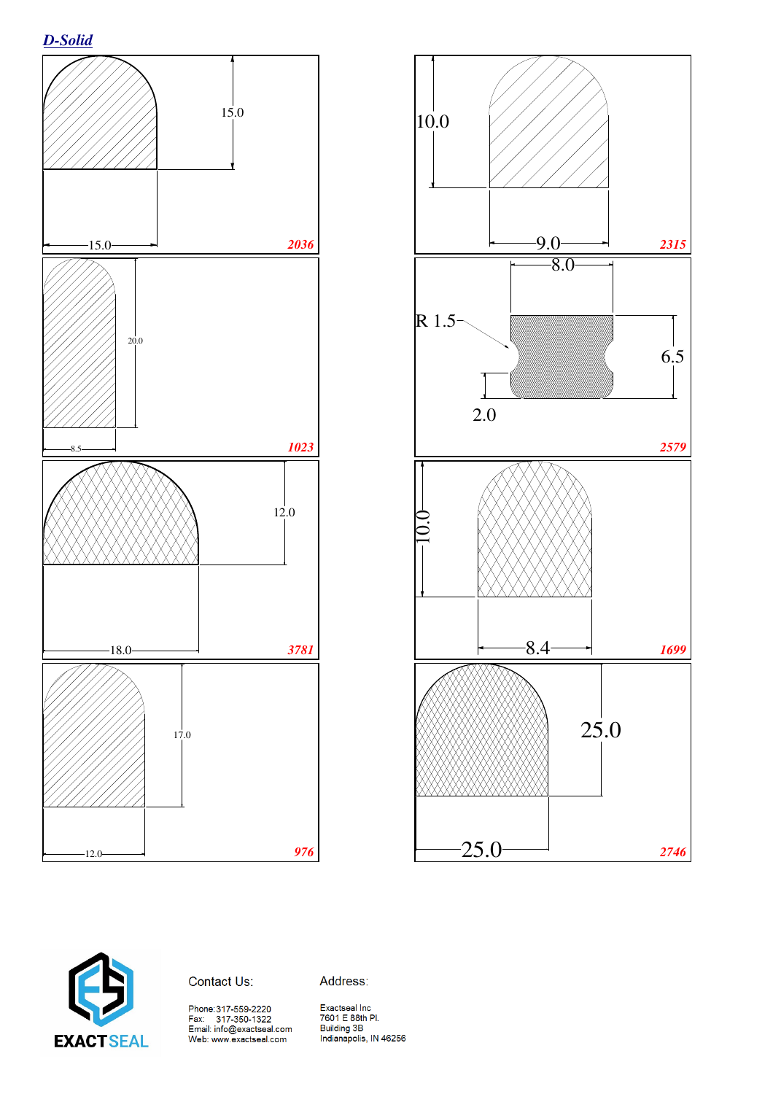







Address: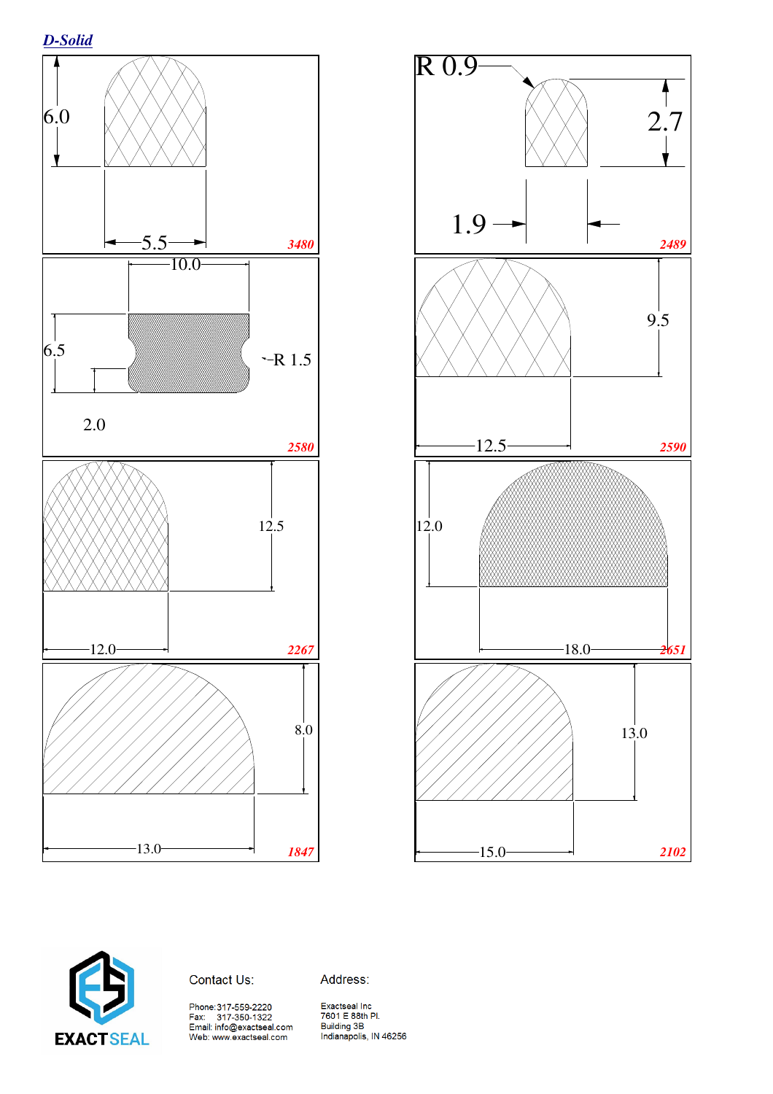# *D-Solid*







### Contact Us:

Exactseal Inc<br>7601 E 88th Pl.<br>Building 3B<br>Indianapolis, IN 46256

Address: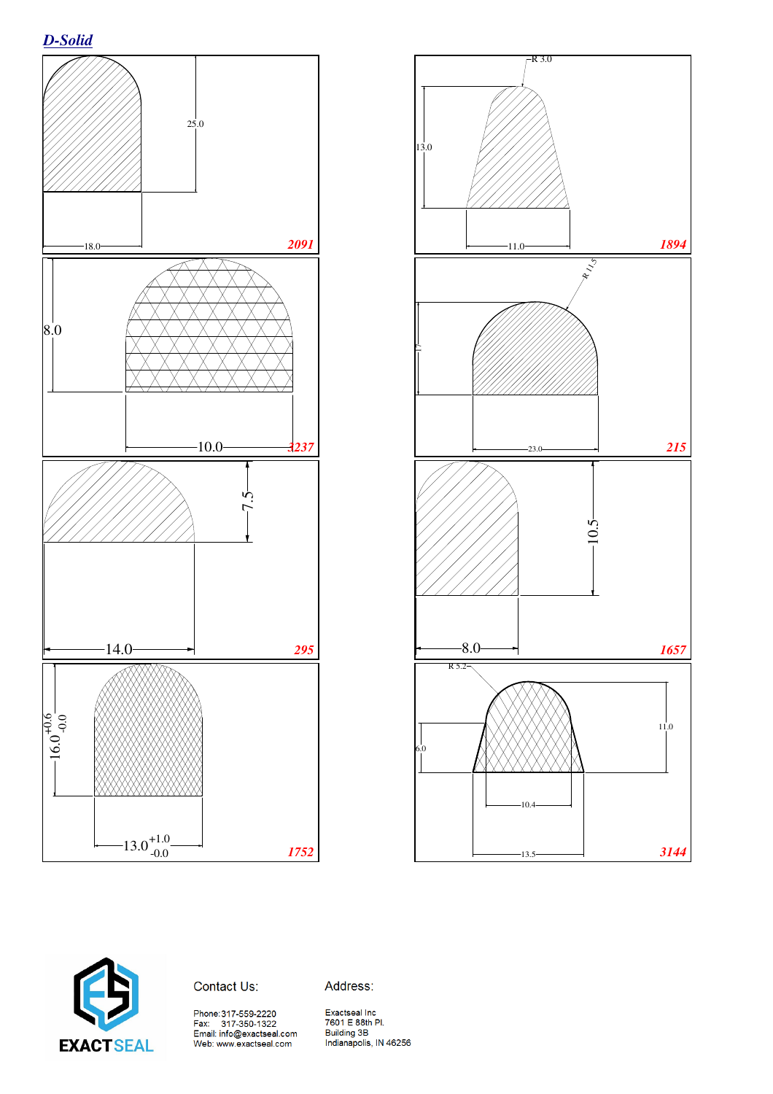







Address: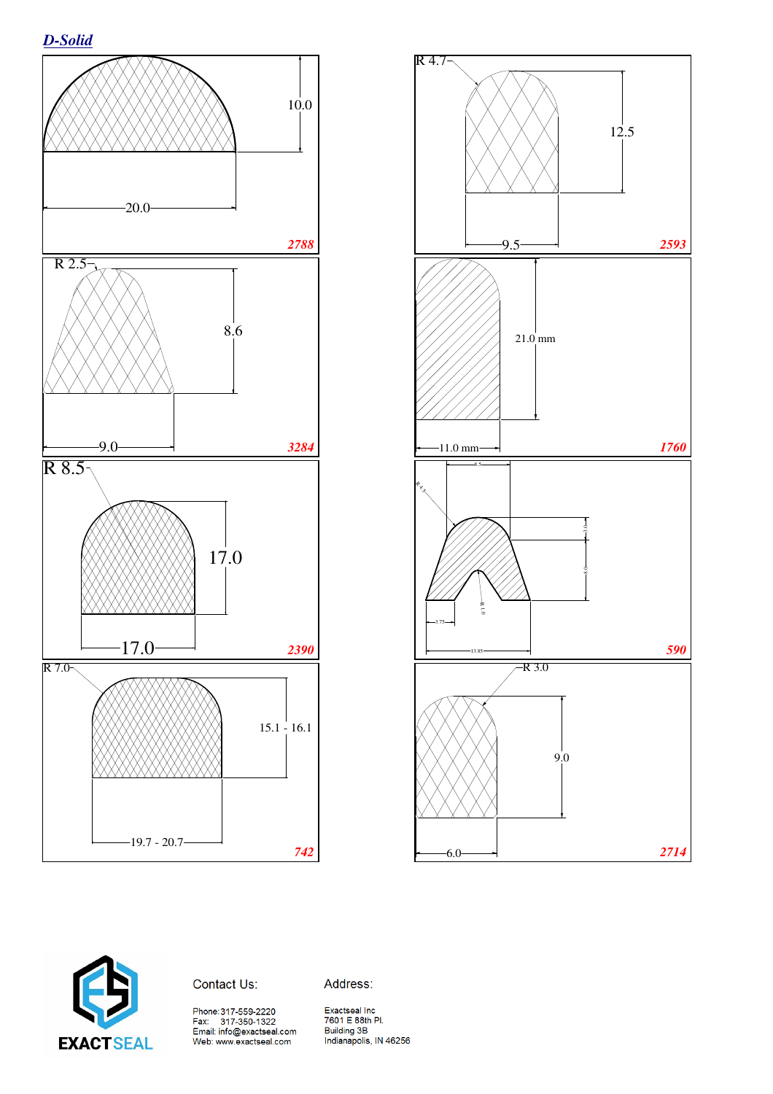







Address: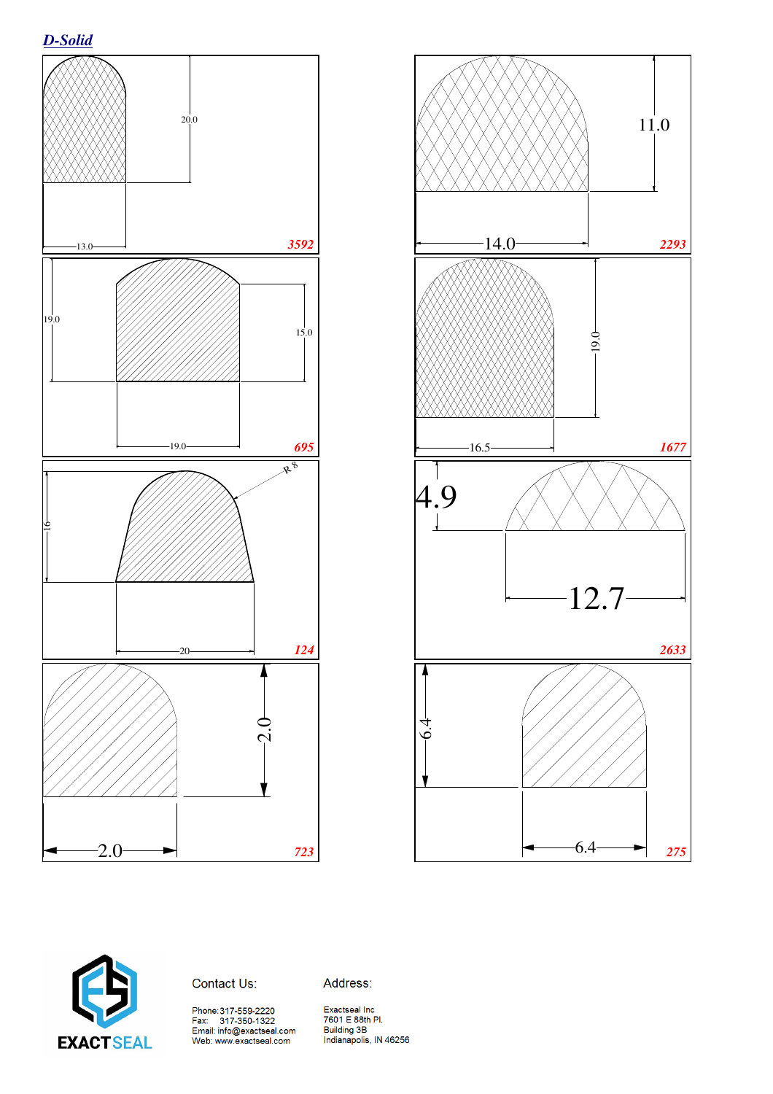





Address: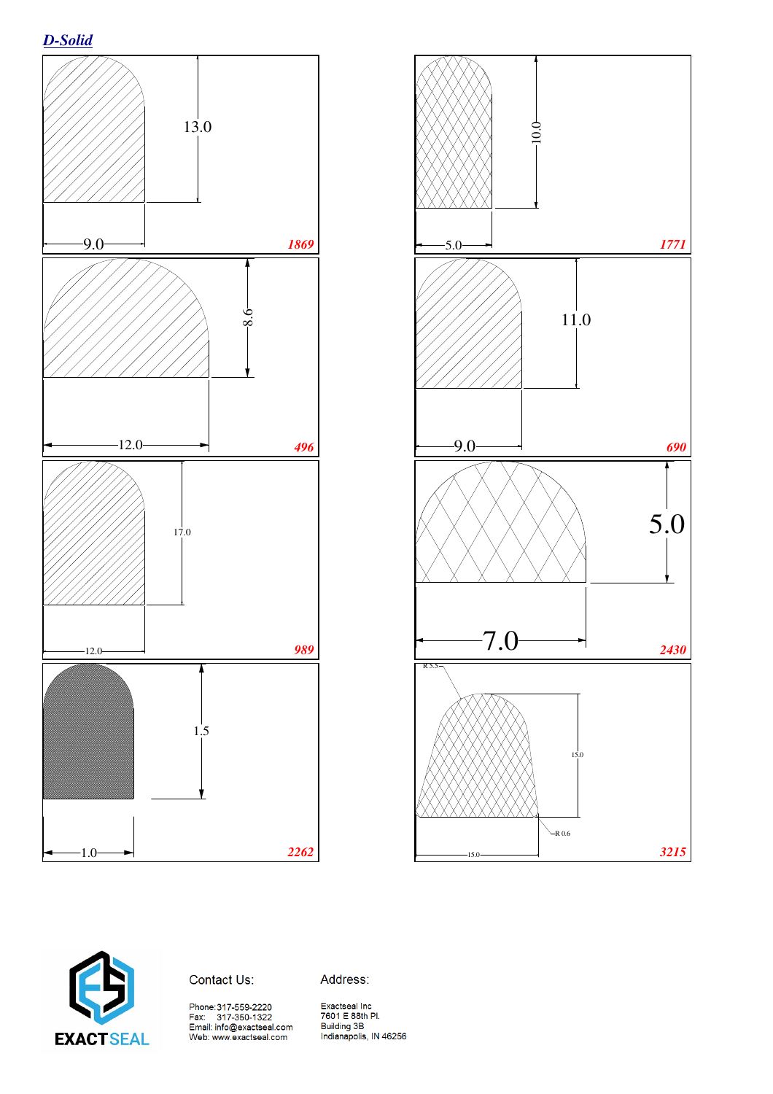







Address: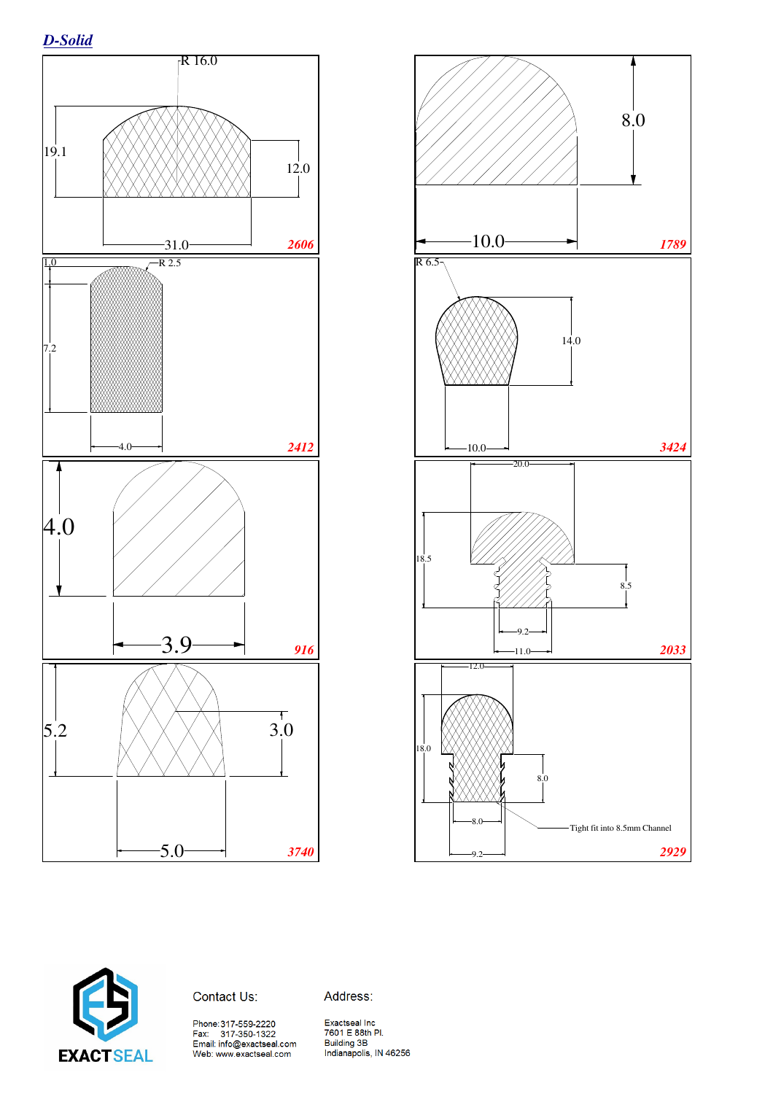*D-Solid*







Address:

Phone:317-559-2220<br>Fax: 317-350-1322<br>Email: info@exactseal.com<br>Web: www.exactseal.com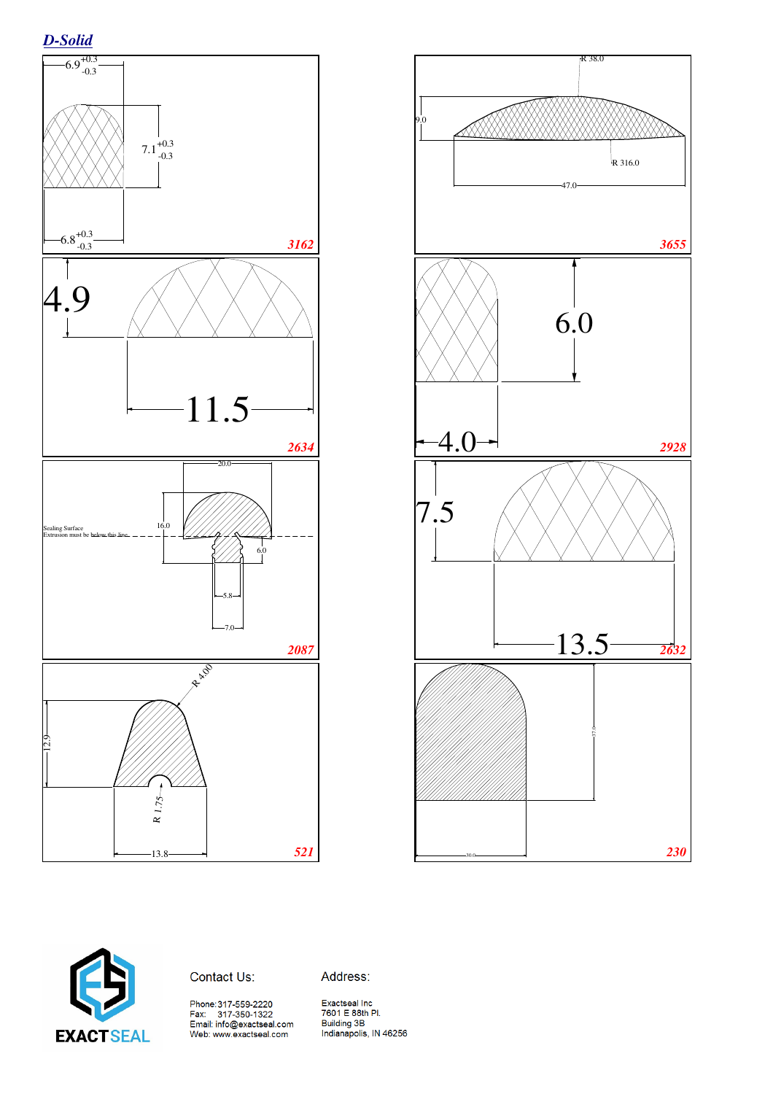





Address: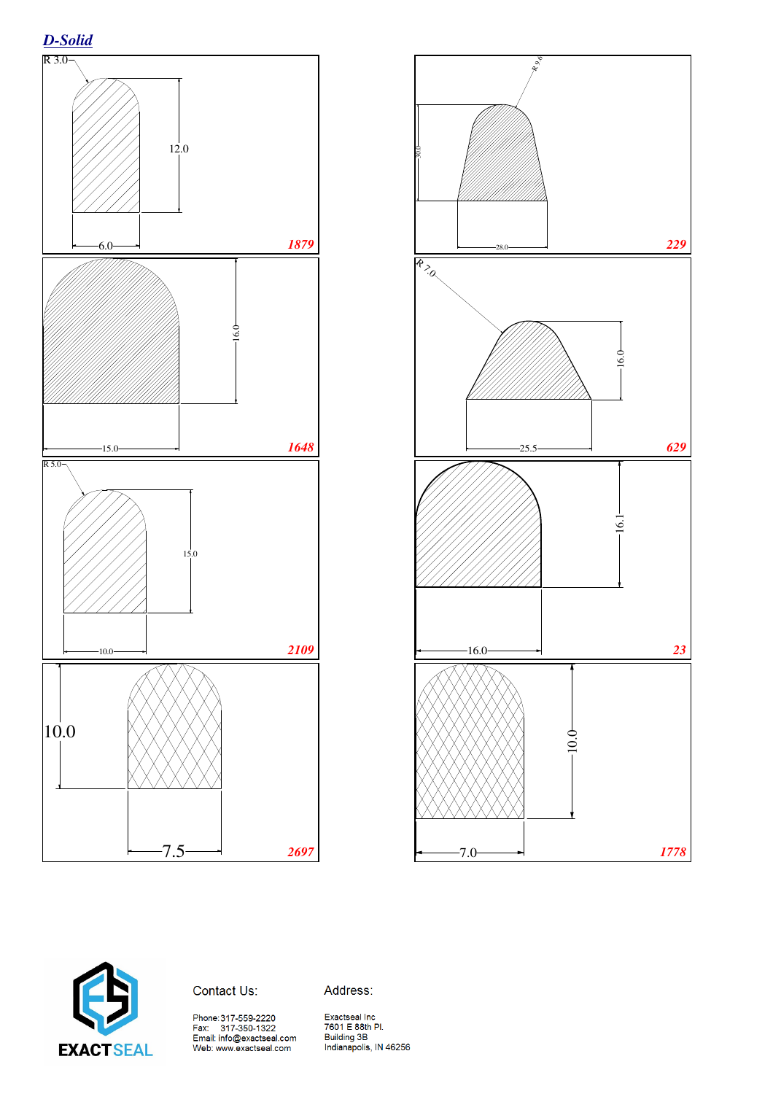







Address:

Phone:317-559-2220<br>Fax: 317-350-1322<br>Email: info@exactseal.com<br>Web: www.exactseal.com